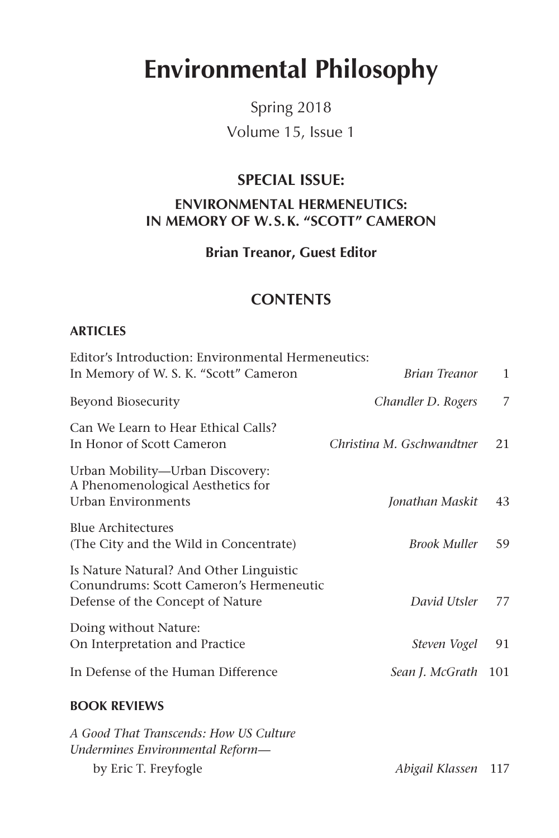# **Environmental Philosophy**

Spring 2018 Volume 15, Issue 1

## **SPECIAL ISSUE: ENVIRONMENTAL HERMENEUTICS: IN MEMORY OF W.S.K. "SCOTT" CAMERON**

**Brian Treanor, Guest Editor**

## **CONTENTS**

#### **ARTICLES**

| Editor's Introduction: Environmental Hermeneutics:<br>In Memory of W. S. K. "Scott" Cameron                            | Brian Treanor             | $\mathbf{1}$ |
|------------------------------------------------------------------------------------------------------------------------|---------------------------|--------------|
| Beyond Biosecurity                                                                                                     | Chandler D. Rogers        | 7            |
| Can We Learn to Hear Ethical Calls?<br>In Honor of Scott Cameron                                                       | Christina M. Gschwandtner | 21           |
| Urban Mobility-Urban Discovery:<br>A Phenomenological Aesthetics for<br>Urban Environments                             | Jonathan Maskit           | 43           |
| <b>Blue Architectures</b><br>(The City and the Wild in Concentrate)                                                    | <b>Brook Muller</b>       | 59           |
| Is Nature Natural? And Other Linguistic<br>Conundrums: Scott Cameron's Hermeneutic<br>Defense of the Concept of Nature | David Utsler              | 77           |
| Doing without Nature:<br>On Interpretation and Practice                                                                | Steven Vogel              | 91           |
| In Defense of the Human Difference                                                                                     | Sean J. McGrath 101       |              |
| $R^2$ $(11)$ $R^2$ $(11)$ $(11)$                                                                                       |                           |              |

### **BOOK REVIEWS**

| A Good That Transcends: How US Culture |                     |  |
|----------------------------------------|---------------------|--|
| Undermines Environmental Reform—       |                     |  |
| by Eric T. Freyfogle                   | Abigail Klassen 117 |  |